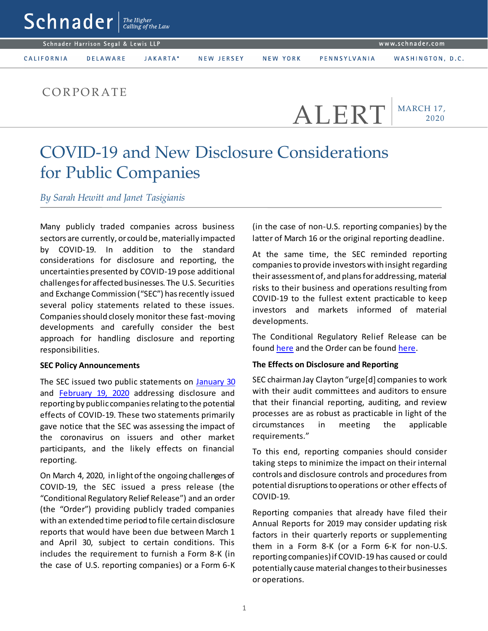|                                     | $\text{Schn}$ ader $\frac{m}{\text{Calting of the Law}}$ |                 |          |            |          |              |                  |  |
|-------------------------------------|----------------------------------------------------------|-----------------|----------|------------|----------|--------------|------------------|--|
| Schnader Harrison Segal & Lewis LLP |                                                          |                 |          |            |          |              | www.schnader.com |  |
|                                     | CALIFORNIA                                               | <b>DELAWARE</b> | JAKARTA* | NEW JERSEY | NEW YORK | PENNSYLVANIA | WASHINGTON, D.C. |  |
|                                     |                                                          |                 |          |            |          |              |                  |  |

## **CORPORATE**

MARCH 17, 2020 ALERT

# COVID-19 and New Disclosure Considerations for Public Companies

*By Sarah Hewitt and Janet Tasigianis*

Many publicly traded companies across business sectors are currently, or could be, materially impacted by COVID-19. In addition to the standard considerations for disclosure and reporting, the uncertainties presented by COVID-19 pose additional challenges for affected businesses. The U.S. Securities and Exchange Commission ("SEC") has recently issued several policy statements related to these issues. Companies should closely monitor these fast-moving developments and carefully consider the best approach for handling disclosure and reporting responsibilities.

#### **SEC Policy Announcements**

The SEC issued two public statements on [January 30](https://www.sec.gov/news/public-statement/clayton-mda-2020-01-30) and [February 19, 2020](https://www.sec.gov/news/public-statement/statement-audit-quality-china-2020-02-19) addressing disclosure and reporting by public companies relating to the potential effects of COVID-19. These two statements primarily gave notice that the SEC was assessing the impact of the coronavirus on issuers and other market participants, and the likely effects on financial reporting.

On March 4, 2020, in light of the ongoing challenges of COVID-19, the SEC issued a press release (the "Conditional Regulatory Relief Release") and an order (the "Order") providing publicly traded companies with an extended time period to file certain disclosure reports that would have been due between March 1 and April 30, subject to certain conditions. This includes the requirement to furnish a Form 8-K (in the case of U.S. reporting companies) or a Form 6-K

(in the case of non-U.S. reporting companies) by the latter of March 16 or the original reporting deadline.

At the same time, the SEC reminded reporting companies to provide investors with insight regarding their assessment of, and plans for addressing, material risks to their business and operations resulting from COVID-19 to the fullest extent practicable to keep investors and markets informed of material developments.

The Conditional Regulatory Relief Release can be foun[d here](https://www.sec.gov/rules/other/2020/34-88318.pdf) and the Order can be found here.

### **The Effects on Disclosure and Reporting**

SEC chairman Jay Clayton "urge[d] companies to work with their audit committees and auditors to ensure that their financial reporting, auditing, and review processes are as robust as practicable in light of the circumstances in meeting the applicable requirements."

To this end, reporting companies should consider taking steps to minimize the impact on their internal controls and disclosure controls and procedures from potential disruptions to operations or other effects of COVID-19.

Reporting companies that already have filed their Annual Reports for 2019 may consider updating risk factors in their quarterly reports or supplementing them in a Form 8-K (or a Form 6-K for non-U.S. reporting companies) if COVID-19 has caused or could potentially cause material changes to their businesses or operations.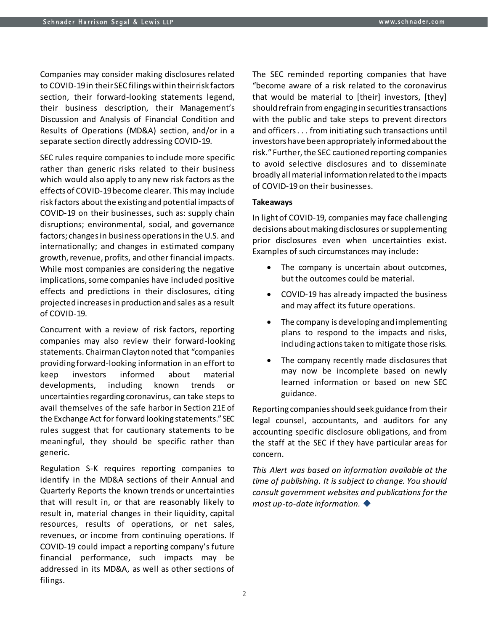Companies may consider making disclosures related to COVID-19 in their SEC filings within their risk factors section, their forward-looking statements legend, their business description, their Management's Discussion and Analysis of Financial Condition and Results of Operations (MD&A) section, and/or in a separate section directly addressing COVID-19.

SEC rules require companies to include more specific rather than generic risks related to their business which would also apply to any new risk factors as the effects of COVID-19 become clearer. This may include risk factors about the existing and potential impacts of COVID-19 on their businesses, such as: supply chain disruptions; environmental, social, and governance factors; changes in business operations in the U.S. and internationally; and changes in estimated company growth, revenue, profits, and other financial impacts. While most companies are considering the negative implications, some companies have included positive effects and predictions in their disclosures, citing projected increases in production and sales as a result of COVID-19.

Concurrent with a review of risk factors, reporting companies may also review their forward-looking statements. Chairman Clayton noted that "companies providing forward-looking information in an effort to keep investors informed about material developments, including known trends or uncertainties regarding coronavirus, can take steps to avail themselves of the safe harbor in Section 21E of the Exchange Act for forward looking statements." SEC rules suggest that for cautionary statements to be meaningful, they should be specific rather than generic.

Regulation S-K requires reporting companies to identify in the MD&A sections of their Annual and Quarterly Reports the known trends or uncertainties that will result in, or that are reasonably likely to result in, material changes in their liquidity, capital resources, results of operations, or net sales, revenues, or income from continuing operations. If COVID-19 could impact a reporting company's future financial performance, such impacts may be addressed in its MD&A, as well as other sections of filings.

The SEC reminded reporting companies that have "become aware of a risk related to the coronavirus that would be material to [their] investors, [they] should refrain from engaging in securities transactions with the public and take steps to prevent directors and officers . . . from initiating such transactions until investors have been appropriately informed about the risk." Further, the SEC cautioned reporting companies to avoid selective disclosures and to disseminate broadly all material information related to the impacts of COVID-19 on their businesses.

#### **Takeaways**

In light of COVID-19, companies may face challenging decisions about making disclosures or supplementing prior disclosures even when uncertainties exist. Examples of such circumstances may include:

- The company is uncertain about outcomes, but the outcomes could be material.
- COVID-19 has already impacted the business and may affect its future operations.
- The company is developing and implementing plans to respond to the impacts and risks, including actions taken to mitigate those risks.
- The company recently made disclosures that may now be incomplete based on newly learned information or based on new SEC guidance.

Reporting companies should seek guidance from their legal counsel, accountants, and auditors for any accounting specific disclosure obligations, and from the staff at the SEC if they have particular areas for concern.

*This Alert was based on information available at the time of publishing. It is subject to change. You should consult government websites and publications for the most up-to-date information.*